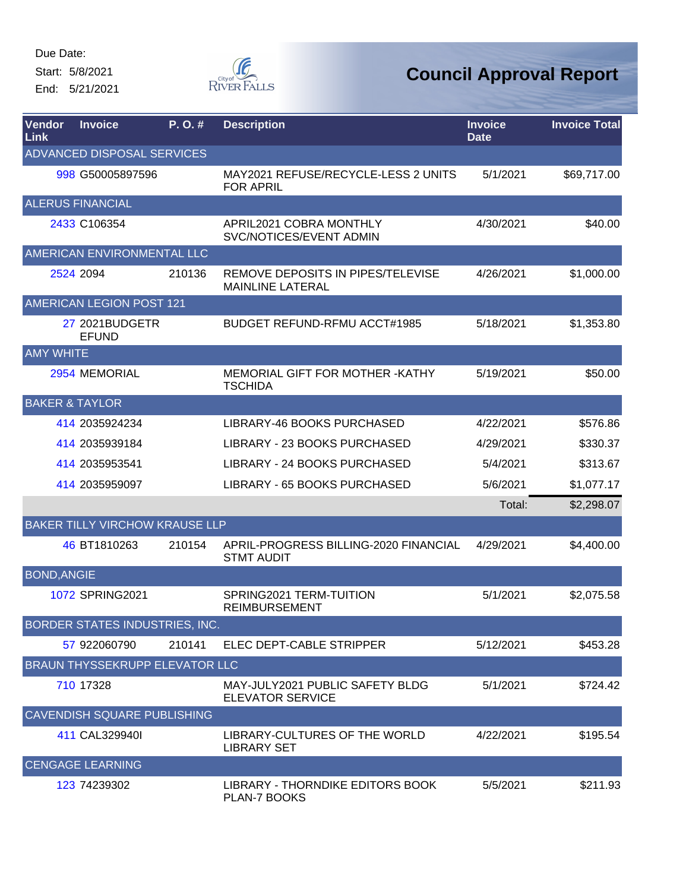Start: 5/8/2021

End: 5/21/2021



| Vendor<br>Link     | <b>Invoice</b>                        | P.O.#  | <b>Description</b>                                           | <b>Invoice</b><br><b>Date</b> | <b>Invoice Total</b> |
|--------------------|---------------------------------------|--------|--------------------------------------------------------------|-------------------------------|----------------------|
|                    | ADVANCED DISPOSAL SERVICES            |        |                                                              |                               |                      |
|                    | 998 G50005897596                      |        | MAY2021 REFUSE/RECYCLE-LESS 2 UNITS<br><b>FOR APRIL</b>      | 5/1/2021                      | \$69,717.00          |
|                    | <b>ALERUS FINANCIAL</b>               |        |                                                              |                               |                      |
|                    | 2433 C106354                          |        | APRIL2021 COBRA MONTHLY<br>SVC/NOTICES/EVENT ADMIN           | 4/30/2021                     | \$40.00              |
|                    | AMERICAN ENVIRONMENTAL LLC            |        |                                                              |                               |                      |
|                    | 2524 2094                             | 210136 | REMOVE DEPOSITS IN PIPES/TELEVISE<br><b>MAINLINE LATERAL</b> | 4/26/2021                     | \$1,000.00           |
|                    | AMERICAN LEGION POST 121              |        |                                                              |                               |                      |
|                    | 27 2021BUDGETR<br><b>EFUND</b>        |        | <b>BUDGET REFUND-RFMU ACCT#1985</b>                          | 5/18/2021                     | \$1,353.80           |
| <b>AMY WHITE</b>   |                                       |        |                                                              |                               |                      |
|                    | 2954 MEMORIAL                         |        | MEMORIAL GIFT FOR MOTHER - KATHY<br><b>TSCHIDA</b>           | 5/19/2021                     | \$50.00              |
|                    | <b>BAKER &amp; TAYLOR</b>             |        |                                                              |                               |                      |
|                    | 414 2035924234                        |        | LIBRARY-46 BOOKS PURCHASED                                   | 4/22/2021                     | \$576.86             |
|                    | 414 2035939184                        |        | LIBRARY - 23 BOOKS PURCHASED                                 | 4/29/2021                     | \$330.37             |
|                    | 414 2035953541                        |        | LIBRARY - 24 BOOKS PURCHASED                                 | 5/4/2021                      | \$313.67             |
|                    | 414 2035959097                        |        | LIBRARY - 65 BOOKS PURCHASED                                 | 5/6/2021                      | \$1,077.17           |
|                    |                                       |        |                                                              | Total:                        | \$2,298.07           |
|                    | <b>BAKER TILLY VIRCHOW KRAUSE LLP</b> |        |                                                              |                               |                      |
|                    | 46 BT1810263                          | 210154 | APRIL-PROGRESS BILLING-2020 FINANCIAL<br><b>STMT AUDIT</b>   | 4/29/2021                     | \$4,400.00           |
| <b>BOND, ANGIE</b> |                                       |        |                                                              |                               |                      |
|                    | 1072 SPRING2021                       |        | SPRING2021 TERM-TUITION<br><b>REIMBURSEMENT</b>              | 5/1/2021                      | \$2,075.58           |
|                    | BORDER STATES INDUSTRIES, INC.        |        |                                                              |                               |                      |
|                    | 57 922060790                          | 210141 | ELEC DEPT-CABLE STRIPPER                                     | 5/12/2021                     | \$453.28             |
|                    | BRAUN THYSSEKRUPP ELEVATOR LLC        |        |                                                              |                               |                      |
|                    | 710 17328                             |        | MAY-JULY2021 PUBLIC SAFETY BLDG<br><b>ELEVATOR SERVICE</b>   | 5/1/2021                      | \$724.42             |
|                    | <b>CAVENDISH SQUARE PUBLISHING</b>    |        |                                                              |                               |                      |
|                    | 411 CAL329940I                        |        | LIBRARY-CULTURES OF THE WORLD<br><b>LIBRARY SET</b>          | 4/22/2021                     | \$195.54             |
|                    | <b>CENGAGE LEARNING</b>               |        |                                                              |                               |                      |
|                    | 123 74239302                          |        | LIBRARY - THORNDIKE EDITORS BOOK<br>PLAN-7 BOOKS             | 5/5/2021                      | \$211.93             |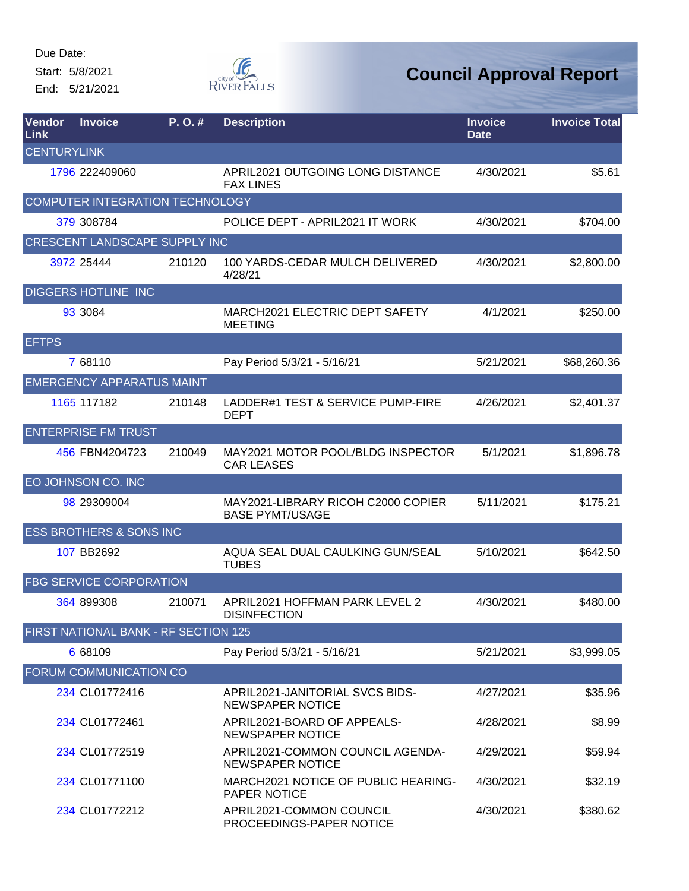Start: 5/8/2021

End: 5/21/2021



| Vendor<br>Link     | <b>Invoice</b>                       | P.O.#  | <b>Description</b>                                           | <b>Invoice</b><br><b>Date</b> | <b>Invoice Total</b> |
|--------------------|--------------------------------------|--------|--------------------------------------------------------------|-------------------------------|----------------------|
| <b>CENTURYLINK</b> |                                      |        |                                                              |                               |                      |
|                    | 1796 222409060                       |        | APRIL2021 OUTGOING LONG DISTANCE<br><b>FAX LINES</b>         | 4/30/2021                     | \$5.61               |
|                    | COMPUTER INTEGRATION TECHNOLOGY      |        |                                                              |                               |                      |
|                    | 379 308784                           |        | POLICE DEPT - APRIL2021 IT WORK                              | 4/30/2021                     | \$704.00             |
|                    | CRESCENT LANDSCAPE SUPPLY INC        |        |                                                              |                               |                      |
|                    | 3972 25444                           | 210120 | 100 YARDS-CEDAR MULCH DELIVERED<br>4/28/21                   | 4/30/2021                     | \$2,800.00           |
|                    | <b>DIGGERS HOTLINE INC</b>           |        |                                                              |                               |                      |
|                    | 93 3084                              |        | MARCH2021 ELECTRIC DEPT SAFETY<br><b>MEETING</b>             | 4/1/2021                      | \$250.00             |
| <b>EFTPS</b>       |                                      |        |                                                              |                               |                      |
|                    | 7 68110                              |        | Pay Period 5/3/21 - 5/16/21                                  | 5/21/2021                     | \$68,260.36          |
|                    | <b>EMERGENCY APPARATUS MAINT</b>     |        |                                                              |                               |                      |
|                    | 1165 117182                          | 210148 | LADDER#1 TEST & SERVICE PUMP-FIRE<br><b>DEPT</b>             | 4/26/2021                     | \$2,401.37           |
|                    | <b>ENTERPRISE FM TRUST</b>           |        |                                                              |                               |                      |
|                    | 456 FBN4204723                       | 210049 | MAY2021 MOTOR POOL/BLDG INSPECTOR<br><b>CAR LEASES</b>       | 5/1/2021                      | \$1,896.78           |
|                    | EO JOHNSON CO. INC                   |        |                                                              |                               |                      |
|                    | 98 29309004                          |        | MAY2021-LIBRARY RICOH C2000 COPIER<br><b>BASE PYMT/USAGE</b> | 5/11/2021                     | \$175.21             |
|                    | <b>ESS BROTHERS &amp; SONS INC</b>   |        |                                                              |                               |                      |
|                    | 107 BB2692                           |        | AQUA SEAL DUAL CAULKING GUN/SEAL<br><b>TUBES</b>             | 5/10/2021                     | \$642.50             |
|                    | <b>FBG SERVICE CORPORATION</b>       |        |                                                              |                               |                      |
|                    | 364 899308                           | 210071 | APRIL2021 HOFFMAN PARK LEVEL 2<br><b>DISINFECTION</b>        | 4/30/2021                     | \$480.00             |
|                    | FIRST NATIONAL BANK - RF SECTION 125 |        |                                                              |                               |                      |
|                    | 6 68109                              |        | Pay Period 5/3/21 - 5/16/21                                  | 5/21/2021                     | \$3,999.05           |
|                    | <b>FORUM COMMUNICATION CO</b>        |        |                                                              |                               |                      |
|                    | 234 CL01772416                       |        | APRIL2021-JANITORIAL SVCS BIDS-<br>NEWSPAPER NOTICE          | 4/27/2021                     | \$35.96              |
|                    | 234 CL01772461                       |        | APRIL2021-BOARD OF APPEALS-<br><b>NEWSPAPER NOTICE</b>       | 4/28/2021                     | \$8.99               |
|                    | 234 CL01772519                       |        | APRIL2021-COMMON COUNCIL AGENDA-<br><b>NEWSPAPER NOTICE</b>  | 4/29/2021                     | \$59.94              |
|                    | 234 CL01771100                       |        | MARCH2021 NOTICE OF PUBLIC HEARING-<br><b>PAPER NOTICE</b>   | 4/30/2021                     | \$32.19              |
|                    | 234 CL01772212                       |        | APRIL2021-COMMON COUNCIL<br>PROCEEDINGS-PAPER NOTICE         | 4/30/2021                     | \$380.62             |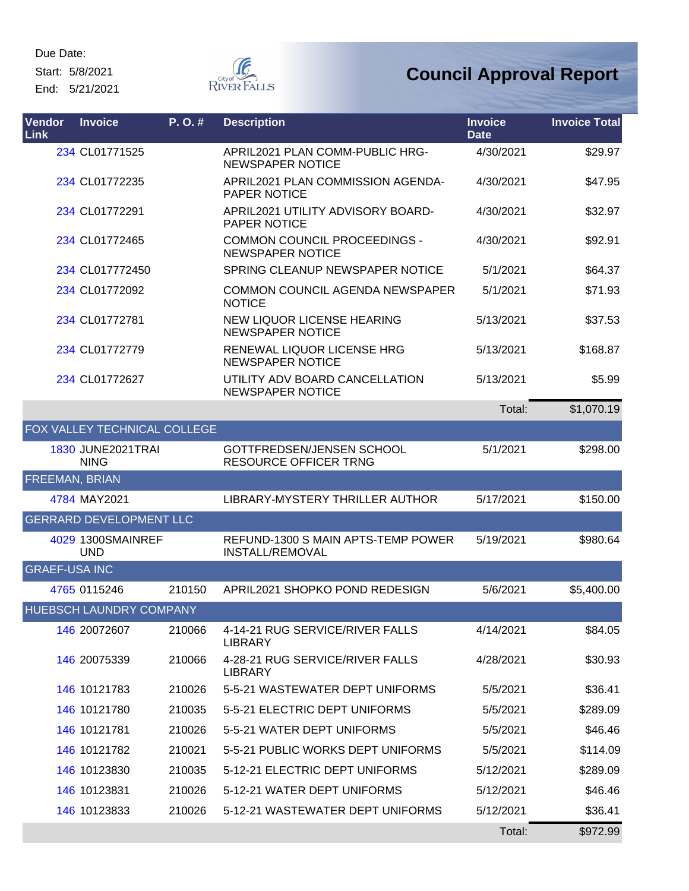Start: 5/8/2021

End: 5/21/2021



| Vendor<br>Link       | <b>Invoice</b>                          | P. O. # | <b>Description</b>                                               | <b>Invoice</b><br><b>Date</b> | <b>Invoice Total</b> |
|----------------------|-----------------------------------------|---------|------------------------------------------------------------------|-------------------------------|----------------------|
|                      | 234 CL01771525                          |         | APRIL2021 PLAN COMM-PUBLIC HRG-<br><b>NEWSPAPER NOTICE</b>       | 4/30/2021                     | \$29.97              |
|                      | 234 CL01772235                          |         | APRIL2021 PLAN COMMISSION AGENDA-<br>PAPER NOTICE                | 4/30/2021                     | \$47.95              |
|                      | 234 CL01772291                          |         | APRIL2021 UTILITY ADVISORY BOARD-<br>PAPER NOTICE                | 4/30/2021                     | \$32.97              |
|                      | 234 CL01772465                          |         | <b>COMMON COUNCIL PROCEEDINGS -</b><br><b>NEWSPAPER NOTICE</b>   | 4/30/2021                     | \$92.91              |
|                      | 234 CL017772450                         |         | SPRING CLEANUP NEWSPAPER NOTICE                                  | 5/1/2021                      | \$64.37              |
|                      | 234 CL01772092                          |         | <b>COMMON COUNCIL AGENDA NEWSPAPER</b><br><b>NOTICE</b>          | 5/1/2021                      | \$71.93              |
|                      | 234 CL01772781                          |         | NEW LIQUOR LICENSE HEARING<br><b>NEWSPAPER NOTICE</b>            | 5/13/2021                     | \$37.53              |
|                      | 234 CL01772779                          |         | RENEWAL LIQUOR LICENSE HRG<br><b>NEWSPAPER NOTICE</b>            | 5/13/2021                     | \$168.87             |
|                      | 234 CL01772627                          |         | UTILITY ADV BOARD CANCELLATION<br><b>NEWSPAPER NOTICE</b>        | 5/13/2021                     | \$5.99               |
|                      |                                         |         |                                                                  | Total:                        | \$1,070.19           |
|                      | FOX VALLEY TECHNICAL COLLEGE            |         |                                                                  |                               |                      |
|                      | <b>1830 JUNE2021TRAI</b><br><b>NING</b> |         | <b>GOTTFREDSEN/JENSEN SCHOOL</b><br><b>RESOURCE OFFICER TRNG</b> | 5/1/2021                      | \$298.00             |
| FREEMAN, BRIAN       |                                         |         |                                                                  |                               |                      |
|                      | 4784 MAY2021                            |         | LIBRARY-MYSTERY THRILLER AUTHOR                                  | 5/17/2021                     | \$150.00             |
|                      | <b>GERRARD DEVELOPMENT LLC</b>          |         |                                                                  |                               |                      |
|                      | 4029 1300SMAINREF<br><b>UND</b>         |         | REFUND-1300 S MAIN APTS-TEMP POWER<br><b>INSTALL/REMOVAL</b>     | 5/19/2021                     | \$980.64             |
| <b>GRAEF-USA INC</b> |                                         |         |                                                                  |                               |                      |
|                      | 4765 0115246                            | 210150  | APRIL2021 SHOPKO POND REDESIGN                                   | 5/6/2021                      | \$5,400.00           |
|                      | HUEBSCH LAUNDRY COMPANY                 |         |                                                                  |                               |                      |
|                      | 146 20072607                            | 210066  | 4-14-21 RUG SERVICE/RIVER FALLS<br><b>LIBRARY</b>                | 4/14/2021                     | \$84.05              |
|                      | 146 20075339                            | 210066  | 4-28-21 RUG SERVICE/RIVER FALLS<br><b>LIBRARY</b>                | 4/28/2021                     | \$30.93              |
|                      | 146 10121783                            | 210026  | 5-5-21 WASTEWATER DEPT UNIFORMS                                  | 5/5/2021                      | \$36.41              |
|                      | 146 10121780                            | 210035  | 5-5-21 ELECTRIC DEPT UNIFORMS                                    | 5/5/2021                      | \$289.09             |
|                      | 146 10121781                            | 210026  | 5-5-21 WATER DEPT UNIFORMS                                       | 5/5/2021                      | \$46.46              |
|                      | 146 10121782                            | 210021  | 5-5-21 PUBLIC WORKS DEPT UNIFORMS                                | 5/5/2021                      | \$114.09             |
|                      | 146 10123830                            | 210035  | 5-12-21 ELECTRIC DEPT UNIFORMS                                   | 5/12/2021                     | \$289.09             |
|                      | 146 10123831                            | 210026  | 5-12-21 WATER DEPT UNIFORMS                                      | 5/12/2021                     | \$46.46              |
|                      | 146 10123833                            | 210026  | 5-12-21 WASTEWATER DEPT UNIFORMS                                 | 5/12/2021                     | \$36.41              |
|                      |                                         |         |                                                                  | Total:                        | \$972.99             |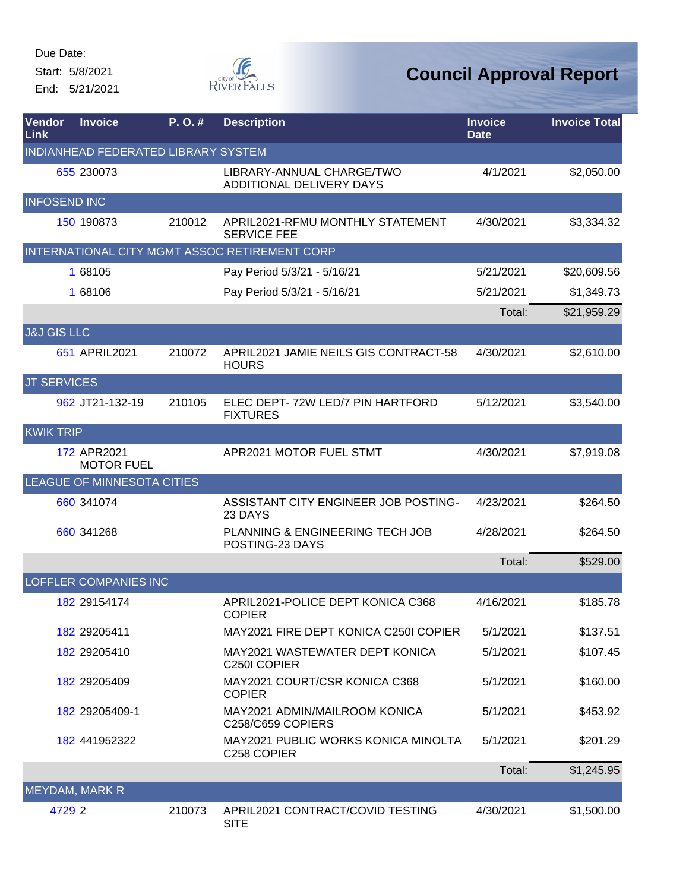Start: 5/8/2021 End: 5/21/2021



| Vendor<br>Link         | <b>Invoice</b>                      | P. O. # | <b>Description</b>                                                    | <b>Invoice</b><br><b>Date</b> | <b>Invoice Total</b> |
|------------------------|-------------------------------------|---------|-----------------------------------------------------------------------|-------------------------------|----------------------|
|                        | INDIANHEAD FEDERATED LIBRARY SYSTEM |         |                                                                       |                               |                      |
|                        | 655 230073                          |         | LIBRARY-ANNUAL CHARGE/TWO<br>ADDITIONAL DELIVERY DAYS                 | 4/1/2021                      | \$2,050.00           |
| <b>INFOSEND INC</b>    |                                     |         |                                                                       |                               |                      |
|                        | 150 190873                          | 210012  | APRIL2021-RFMU MONTHLY STATEMENT<br><b>SERVICE FEE</b>                | 4/30/2021                     | \$3,334.32           |
|                        |                                     |         | INTERNATIONAL CITY MGMT ASSOC RETIREMENT CORP                         |                               |                      |
|                        | 1 68105                             |         | Pay Period 5/3/21 - 5/16/21                                           | 5/21/2021                     | \$20,609.56          |
|                        | 1 68106                             |         | Pay Period 5/3/21 - 5/16/21                                           | 5/21/2021                     | \$1,349.73           |
|                        |                                     |         |                                                                       | Total:                        | \$21,959.29          |
| <b>J&amp;J GIS LLC</b> |                                     |         |                                                                       |                               |                      |
|                        | 651 APRIL2021                       | 210072  | APRIL2021 JAMIE NEILS GIS CONTRACT-58<br><b>HOURS</b>                 | 4/30/2021                     | \$2,610.00           |
| <b>JT SERVICES</b>     |                                     |         |                                                                       |                               |                      |
|                        | 962 JT21-132-19                     | 210105  | ELEC DEPT-72W LED/7 PIN HARTFORD<br><b>FIXTURES</b>                   | 5/12/2021                     | \$3,540.00           |
| <b>KWIK TRIP</b>       |                                     |         |                                                                       |                               |                      |
|                        | 172 APR2021<br><b>MOTOR FUEL</b>    |         | APR2021 MOTOR FUEL STMT                                               | 4/30/2021                     | \$7,919.08           |
|                        | LEAGUE OF MINNESOTA CITIES          |         |                                                                       |                               |                      |
|                        | 660 341074                          |         | ASSISTANT CITY ENGINEER JOB POSTING-<br>23 DAYS                       | 4/23/2021                     | \$264.50             |
|                        | 660 341268                          |         | PLANNING & ENGINEERING TECH JOB<br>POSTING-23 DAYS                    | 4/28/2021                     | \$264.50             |
|                        |                                     |         |                                                                       | Total:                        | \$529.00             |
|                        | <b>LOFFLER COMPANIES INC</b>        |         |                                                                       |                               |                      |
|                        | 182 29154174                        |         | APRIL2021-POLICE DEPT KONICA C368<br><b>COPIER</b>                    | 4/16/2021                     | \$185.78             |
|                        | 182 29205411                        |         | MAY2021 FIRE DEPT KONICA C250I COPIER                                 | 5/1/2021                      | \$137.51             |
|                        | 182 29205410                        |         | MAY2021 WASTEWATER DEPT KONICA<br>C <sub>250</sub> COPIER             | 5/1/2021                      | \$107.45             |
|                        | 182 29205409                        |         | MAY2021 COURT/CSR KONICA C368<br><b>COPIER</b>                        | 5/1/2021                      | \$160.00             |
|                        | 182 29205409-1                      |         | MAY2021 ADMIN/MAILROOM KONICA<br>C258/C659 COPIERS                    | 5/1/2021                      | \$453.92             |
|                        | 182 441952322                       |         | <b>MAY2021 PUBLIC WORKS KONICA MINOLTA</b><br>C <sub>258</sub> COPIER | 5/1/2021                      | \$201.29             |
|                        |                                     |         |                                                                       | Total:                        | \$1,245.95           |
| <b>MEYDAM, MARK R</b>  |                                     |         |                                                                       |                               |                      |
| 4729 2                 |                                     | 210073  | APRIL2021 CONTRACT/COVID TESTING<br><b>SITE</b>                       | 4/30/2021                     | \$1,500.00           |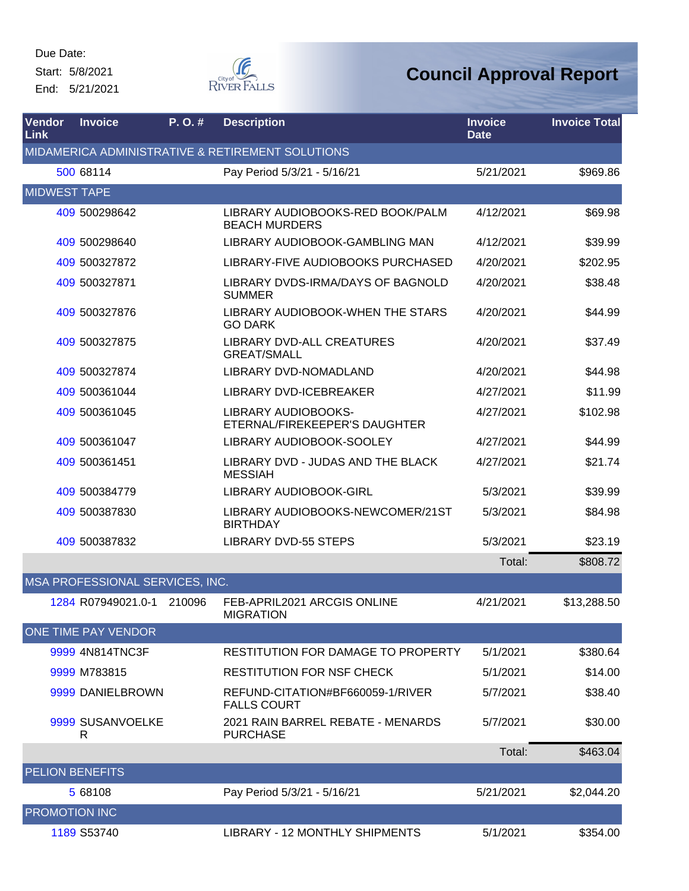Start: 5/8/2021

End: 5/21/2021



| Vendor<br>Link         | <b>Invoice</b>                  | P. O. # | <b>Description</b>                                       | <b>Invoice</b><br><b>Date</b> | <b>Invoice Total</b> |
|------------------------|---------------------------------|---------|----------------------------------------------------------|-------------------------------|----------------------|
|                        |                                 |         | MIDAMERICA ADMINISTRATIVE & RETIREMENT SOLUTIONS         |                               |                      |
|                        | 500 68114                       |         | Pay Period 5/3/21 - 5/16/21                              | 5/21/2021                     | \$969.86             |
| <b>MIDWEST TAPE</b>    |                                 |         |                                                          |                               |                      |
|                        | 409 500298642                   |         | LIBRARY AUDIOBOOKS-RED BOOK/PALM<br><b>BEACH MURDERS</b> | 4/12/2021                     | \$69.98              |
|                        | 409 500298640                   |         | LIBRARY AUDIOBOOK-GAMBLING MAN                           | 4/12/2021                     | \$39.99              |
|                        | 409 500327872                   |         | LIBRARY-FIVE AUDIOBOOKS PURCHASED                        | 4/20/2021                     | \$202.95             |
|                        | 409 500327871                   |         | LIBRARY DVDS-IRMA/DAYS OF BAGNOLD<br><b>SUMMER</b>       | 4/20/2021                     | \$38.48              |
|                        | 409 500327876                   |         | LIBRARY AUDIOBOOK-WHEN THE STARS<br><b>GO DARK</b>       | 4/20/2021                     | \$44.99              |
|                        | 409 500327875                   |         | LIBRARY DVD-ALL CREATURES<br><b>GREAT/SMALL</b>          | 4/20/2021                     | \$37.49              |
|                        | 409 500327874                   |         | LIBRARY DVD-NOMADLAND                                    | 4/20/2021                     | \$44.98              |
|                        | 409 500361044                   |         | LIBRARY DVD-ICEBREAKER                                   | 4/27/2021                     | \$11.99              |
|                        | 409 500361045                   |         | LIBRARY AUDIOBOOKS-<br>ETERNAL/FIREKEEPER'S DAUGHTER     | 4/27/2021                     | \$102.98             |
|                        | 409 500361047                   |         | LIBRARY AUDIOBOOK-SOOLEY                                 | 4/27/2021                     | \$44.99              |
|                        | 409 500361451                   |         | LIBRARY DVD - JUDAS AND THE BLACK<br><b>MESSIAH</b>      | 4/27/2021                     | \$21.74              |
|                        | 409 500384779                   |         | LIBRARY AUDIOBOOK-GIRL                                   | 5/3/2021                      | \$39.99              |
|                        | 409 500387830                   |         | LIBRARY AUDIOBOOKS-NEWCOMER/21ST<br><b>BIRTHDAY</b>      | 5/3/2021                      | \$84.98              |
|                        | 409 500387832                   |         | <b>LIBRARY DVD-55 STEPS</b>                              | 5/3/2021                      | \$23.19              |
|                        |                                 |         |                                                          | Total:                        | \$808.72             |
|                        | MSA PROFESSIONAL SERVICES, INC. |         |                                                          |                               |                      |
|                        | 1284 R07949021.0-1 210096       |         | FEB-APRIL2021 ARCGIS ONLINE<br><b>MIGRATION</b>          | 4/21/2021                     | \$13,288.50          |
|                        | ONE TIME PAY VENDOR             |         |                                                          |                               |                      |
|                        | 9999 4N814TNC3F                 |         | <b>RESTITUTION FOR DAMAGE TO PROPERTY</b>                | 5/1/2021                      | \$380.64             |
|                        | 9999 M783815                    |         | <b>RESTITUTION FOR NSF CHECK</b>                         | 5/1/2021                      | \$14.00              |
|                        | 9999 DANIELBROWN                |         | REFUND-CITATION#BF660059-1/RIVER<br><b>FALLS COURT</b>   | 5/7/2021                      | \$38.40              |
|                        | 9999 SUSANVOELKE<br>R           |         | 2021 RAIN BARREL REBATE - MENARDS<br><b>PURCHASE</b>     | 5/7/2021                      | \$30.00              |
|                        |                                 |         |                                                          | Total:                        | \$463.04             |
| <b>PELION BENEFITS</b> |                                 |         |                                                          |                               |                      |
|                        | 5 68108                         |         | Pay Period 5/3/21 - 5/16/21                              | 5/21/2021                     | \$2,044.20           |
| <b>PROMOTION INC</b>   |                                 |         |                                                          |                               |                      |
|                        | 1189 S53740                     |         | LIBRARY - 12 MONTHLY SHIPMENTS                           | 5/1/2021                      | \$354.00             |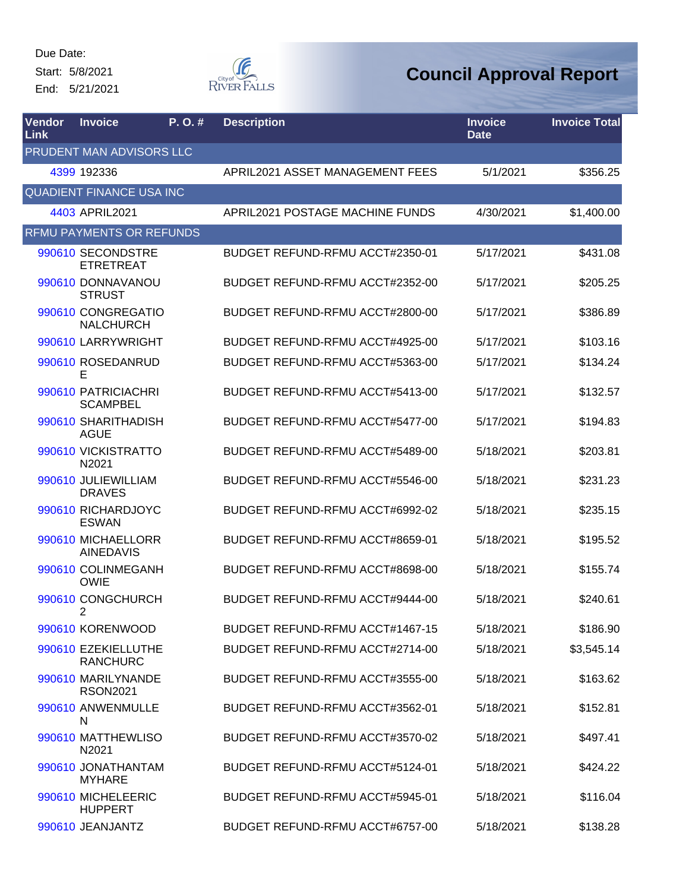Start: 5/8/2021 End: 5/21/2021



| Vendor<br><b>Link</b> | <b>Invoice</b>                         | P. O.# | <b>Description</b>              | <b>Invoice</b><br><b>Date</b> | <b>Invoice Total</b> |
|-----------------------|----------------------------------------|--------|---------------------------------|-------------------------------|----------------------|
|                       | PRUDENT MAN ADVISORS LLC               |        |                                 |                               |                      |
|                       | 4399 192336                            |        | APRIL2021 ASSET MANAGEMENT FEES | 5/1/2021                      | \$356.25             |
|                       | <b>QUADIENT FINANCE USA INC</b>        |        |                                 |                               |                      |
|                       | 4403 APRIL2021                         |        | APRIL2021 POSTAGE MACHINE FUNDS | 4/30/2021                     | \$1,400.00           |
|                       | <b>RFMU PAYMENTS OR REFUNDS</b>        |        |                                 |                               |                      |
|                       | 990610 SECONDSTRE<br><b>ETRETREAT</b>  |        | BUDGET REFUND-RFMU ACCT#2350-01 | 5/17/2021                     | \$431.08             |
|                       | 990610 DONNAVANOU<br><b>STRUST</b>     |        | BUDGET REFUND-RFMU ACCT#2352-00 | 5/17/2021                     | \$205.25             |
|                       | 990610 CONGREGATIO<br><b>NALCHURCH</b> |        | BUDGET REFUND-RFMU ACCT#2800-00 | 5/17/2021                     | \$386.89             |
|                       | 990610 LARRYWRIGHT                     |        | BUDGET REFUND-RFMU ACCT#4925-00 | 5/17/2021                     | \$103.16             |
|                       | 990610 ROSEDANRUD<br>Е                 |        | BUDGET REFUND-RFMU ACCT#5363-00 | 5/17/2021                     | \$134.24             |
|                       | 990610 PATRICIACHRI<br><b>SCAMPBEL</b> |        | BUDGET REFUND-RFMU ACCT#5413-00 | 5/17/2021                     | \$132.57             |
|                       | 990610 SHARITHADISH<br><b>AGUE</b>     |        | BUDGET REFUND-RFMU ACCT#5477-00 | 5/17/2021                     | \$194.83             |
|                       | 990610 VICKISTRATTO<br>N2021           |        | BUDGET REFUND-RFMU ACCT#5489-00 | 5/18/2021                     | \$203.81             |
|                       | 990610 JULIEWILLIAM<br><b>DRAVES</b>   |        | BUDGET REFUND-RFMU ACCT#5546-00 | 5/18/2021                     | \$231.23             |
|                       | 990610 RICHARDJOYC<br><b>ESWAN</b>     |        | BUDGET REFUND-RFMU ACCT#6992-02 | 5/18/2021                     | \$235.15             |
|                       | 990610 MICHAELLORR<br><b>AINEDAVIS</b> |        | BUDGET REFUND-RFMU ACCT#8659-01 | 5/18/2021                     | \$195.52             |
|                       | 990610 COLINMEGANH<br><b>OWIE</b>      |        | BUDGET REFUND-RFMU ACCT#8698-00 | 5/18/2021                     | \$155.74             |
|                       | 990610 CONGCHURCH<br>$\overline{2}$    |        | BUDGET REFUND-RFMU ACCT#9444-00 | 5/18/2021                     | \$240.61             |
|                       | 990610 KORENWOOD                       |        | BUDGET REFUND-RFMU ACCT#1467-15 | 5/18/2021                     | \$186.90             |
|                       | 990610 EZEKIELLUTHE<br><b>RANCHURC</b> |        | BUDGET REFUND-RFMU ACCT#2714-00 | 5/18/2021                     | \$3,545.14           |
|                       | 990610 MARILYNANDE<br><b>RSON2021</b>  |        | BUDGET REFUND-RFMU ACCT#3555-00 | 5/18/2021                     | \$163.62             |
|                       | 990610 ANWENMULLE<br>N                 |        | BUDGET REFUND-RFMU ACCT#3562-01 | 5/18/2021                     | \$152.81             |
|                       | 990610 MATTHEWLISO<br>N2021            |        | BUDGET REFUND-RFMU ACCT#3570-02 | 5/18/2021                     | \$497.41             |
|                       | 990610 JONATHANTAM<br><b>MYHARE</b>    |        | BUDGET REFUND-RFMU ACCT#5124-01 | 5/18/2021                     | \$424.22             |
|                       | 990610 MICHELEERIC<br><b>HUPPERT</b>   |        | BUDGET REFUND-RFMU ACCT#5945-01 | 5/18/2021                     | \$116.04             |
|                       | 990610 JEANJANTZ                       |        | BUDGET REFUND-RFMU ACCT#6757-00 | 5/18/2021                     | \$138.28             |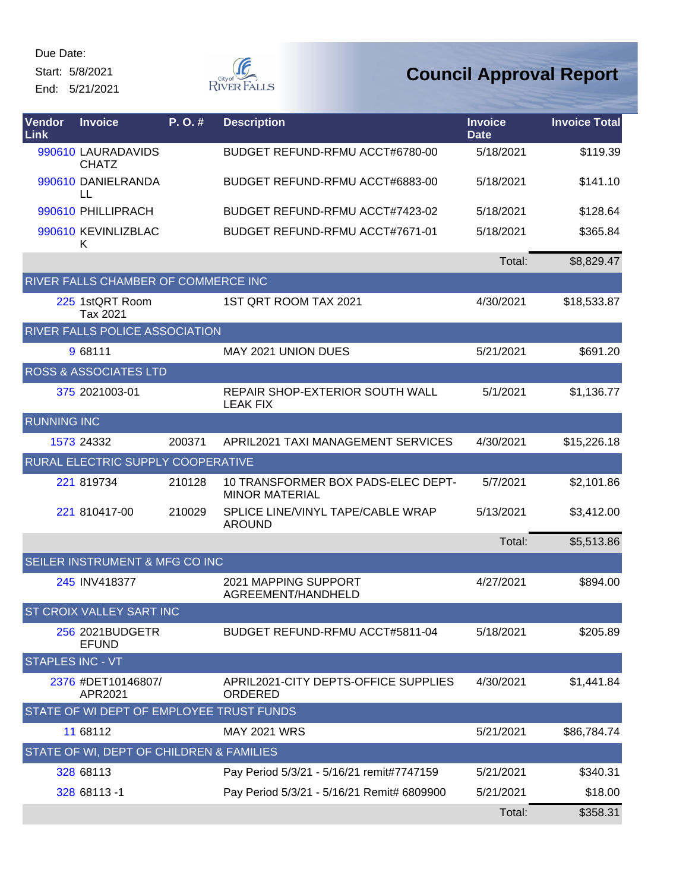Start: 5/8/2021

End: 5/21/2021



| Vendor<br>Link          | <b>Invoice</b>                           | P.O.#  | <b>Description</b>                                          | <b>Invoice</b><br><b>Date</b> | <b>Invoice Total</b> |
|-------------------------|------------------------------------------|--------|-------------------------------------------------------------|-------------------------------|----------------------|
|                         | 990610 LAURADAVIDS<br><b>CHATZ</b>       |        | BUDGET REFUND-RFMU ACCT#6780-00                             | 5/18/2021                     | \$119.39             |
|                         | 990610 DANIELRANDA<br>LL                 |        | BUDGET REFUND-RFMU ACCT#6883-00                             | 5/18/2021                     | \$141.10             |
|                         | 990610 PHILLIPRACH                       |        | BUDGET REFUND-RFMU ACCT#7423-02                             | 5/18/2021                     | \$128.64             |
|                         | 990610 KEVINLIZBLAC<br>Κ                 |        | BUDGET REFUND-RFMU ACCT#7671-01                             | 5/18/2021                     | \$365.84             |
|                         |                                          |        |                                                             | Total:                        | \$8,829.47           |
|                         | RIVER FALLS CHAMBER OF COMMERCE INC      |        |                                                             |                               |                      |
|                         | 225 1stQRT Room<br>Tax 2021              |        | 1ST QRT ROOM TAX 2021                                       | 4/30/2021                     | \$18,533.87          |
|                         | RIVER FALLS POLICE ASSOCIATION           |        |                                                             |                               |                      |
|                         | 9 68111                                  |        | <b>MAY 2021 UNION DUES</b>                                  | 5/21/2021                     | \$691.20             |
|                         | <b>ROSS &amp; ASSOCIATES LTD</b>         |        |                                                             |                               |                      |
|                         | 375 2021003-01                           |        | REPAIR SHOP-EXTERIOR SOUTH WALL<br><b>LEAK FIX</b>          | 5/1/2021                      | \$1,136.77           |
| <b>RUNNING INC</b>      |                                          |        |                                                             |                               |                      |
|                         | 1573 24332                               | 200371 | APRIL2021 TAXI MANAGEMENT SERVICES                          | 4/30/2021                     | \$15,226.18          |
|                         | RURAL ELECTRIC SUPPLY COOPERATIVE        |        |                                                             |                               |                      |
|                         | 221 819734                               | 210128 | 10 TRANSFORMER BOX PADS-ELEC DEPT-<br><b>MINOR MATERIAL</b> | 5/7/2021                      | \$2,101.86           |
|                         | 221 810417-00                            | 210029 | SPLICE LINE/VINYL TAPE/CABLE WRAP<br><b>AROUND</b>          | 5/13/2021                     | \$3,412.00           |
|                         |                                          |        |                                                             | Total:                        | \$5,513.86           |
|                         | SEILER INSTRUMENT & MFG CO INC           |        |                                                             |                               |                      |
|                         | 245 INV418377                            |        | 2021 MAPPING SUPPORT<br>AGREEMENT/HANDHELD                  | 4/27/2021                     | \$894.00             |
|                         | ST CROIX VALLEY SART INC                 |        |                                                             |                               |                      |
|                         | 256 2021BUDGETR<br><b>EFUND</b>          |        | BUDGET REFUND-RFMU ACCT#5811-04                             | 5/18/2021                     | \$205.89             |
| <b>STAPLES INC - VT</b> |                                          |        |                                                             |                               |                      |
|                         | 2376 #DET10146807/<br>APR2021            |        | APRIL2021-CITY DEPTS-OFFICE SUPPLIES<br>ORDERED             | 4/30/2021                     | \$1,441.84           |
|                         | STATE OF WI DEPT OF EMPLOYEE TRUST FUNDS |        |                                                             |                               |                      |
|                         | 11 68112                                 |        | <b>MAY 2021 WRS</b>                                         | 5/21/2021                     | \$86,784.74          |
|                         | STATE OF WI, DEPT OF CHILDREN & FAMILIES |        |                                                             |                               |                      |
|                         | 328 68113                                |        | Pay Period 5/3/21 - 5/16/21 remit#7747159                   | 5/21/2021                     | \$340.31             |
|                         | 328 68113 -1                             |        | Pay Period 5/3/21 - 5/16/21 Remit# 6809900                  | 5/21/2021                     | \$18.00              |
|                         |                                          |        |                                                             | Total:                        | \$358.31             |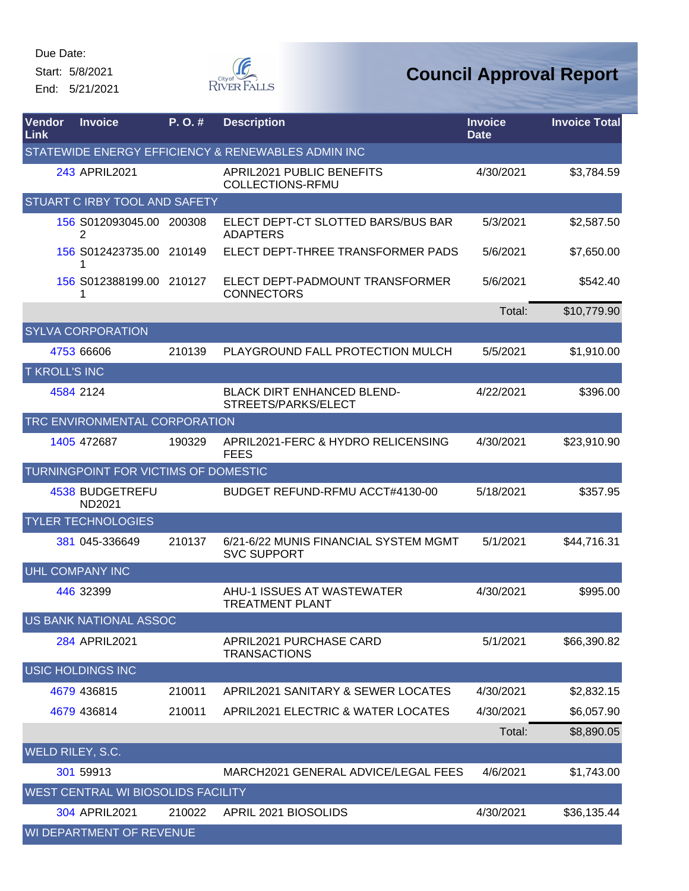Start: 5/8/2021 End: 5/21/2021



| Vendor<br>Link       | <b>Invoice</b>                       | P. O. # | <b>Description</b>                                          | <b>Invoice</b><br><b>Date</b> | <b>Invoice Total</b> |
|----------------------|--------------------------------------|---------|-------------------------------------------------------------|-------------------------------|----------------------|
|                      |                                      |         | STATEWIDE ENERGY EFFICIENCY & RENEWABLES ADMIN INC          |                               |                      |
|                      | 243 APRIL2021                        |         | APRIL2021 PUBLIC BENEFITS<br>COLLECTIONS-RFMU               | 4/30/2021                     | \$3,784.59           |
|                      | <b>STUART C IRBY TOOL AND SAFETY</b> |         |                                                             |                               |                      |
|                      | 156 S012093045.00 200308<br>2        |         | ELECT DEPT-CT SLOTTED BARS/BUS BAR<br><b>ADAPTERS</b>       | 5/3/2021                      | \$2,587.50           |
|                      | 156 S012423735.00 210149<br>1        |         | ELECT DEPT-THREE TRANSFORMER PADS                           | 5/6/2021                      | \$7,650.00           |
|                      | 156 S012388199.00 210127<br>1        |         | ELECT DEPT-PADMOUNT TRANSFORMER<br><b>CONNECTORS</b>        | 5/6/2021                      | \$542.40             |
|                      |                                      |         |                                                             | Total:                        | \$10,779.90          |
|                      | <b>SYLVA CORPORATION</b>             |         |                                                             |                               |                      |
|                      | 4753 66606                           | 210139  | PLAYGROUND FALL PROTECTION MULCH                            | 5/5/2021                      | \$1,910.00           |
| <b>T KROLL'S INC</b> |                                      |         |                                                             |                               |                      |
|                      | 4584 2124                            |         | <b>BLACK DIRT ENHANCED BLEND-</b><br>STREETS/PARKS/ELECT    | 4/22/2021                     | \$396.00             |
|                      | TRC ENVIRONMENTAL CORPORATION        |         |                                                             |                               |                      |
|                      | 1405 472687                          | 190329  | APRIL2021-FERC & HYDRO RELICENSING<br><b>FEES</b>           | 4/30/2021                     | \$23,910.90          |
|                      | TURNINGPOINT FOR VICTIMS OF DOMESTIC |         |                                                             |                               |                      |
|                      | 4538 BUDGETREFU<br>ND2021            |         | BUDGET REFUND-RFMU ACCT#4130-00                             | 5/18/2021                     | \$357.95             |
|                      | YLER TECHNOLOGIES                    |         |                                                             |                               |                      |
|                      | 381 045-336649                       | 210137  | 6/21-6/22 MUNIS FINANCIAL SYSTEM MGMT<br><b>SVC SUPPORT</b> | 5/1/2021                      | \$44,716.31          |
|                      | <b>UHL COMPANY INC</b>               |         |                                                             |                               |                      |
|                      | 446 32399                            |         | AHU-1 ISSUES AT WASTEWATER<br><b>TREATMENT PLANT</b>        | 4/30/2021                     | \$995.00             |
|                      | <b>US BANK NATIONAL ASSOC</b>        |         |                                                             |                               |                      |
|                      | 284 APRIL2021                        |         | <b>APRIL2021 PURCHASE CARD</b><br><b>TRANSACTIONS</b>       | 5/1/2021                      | \$66,390.82          |
|                      | <b>USIC HOLDINGS INC</b>             |         |                                                             |                               |                      |
|                      | 4679 436815                          | 210011  | APRIL2021 SANITARY & SEWER LOCATES                          | 4/30/2021                     | \$2,832.15           |
|                      | 4679 436814                          | 210011  | APRIL2021 ELECTRIC & WATER LOCATES                          | 4/30/2021                     | \$6,057.90           |
|                      |                                      |         |                                                             | Total:                        | \$8,890.05           |
|                      | WELD RILEY, S.C.                     |         |                                                             |                               |                      |
|                      | 301 59913                            |         | MARCH2021 GENERAL ADVICE/LEGAL FEES                         | 4/6/2021                      | \$1,743.00           |
|                      | WEST CENTRAL WI BIOSOLIDS FACILITY   |         |                                                             |                               |                      |
|                      | 304 APRIL2021                        | 210022  | APRIL 2021 BIOSOLIDS                                        | 4/30/2021                     | \$36,135.44          |
|                      | WI DEPARTMENT OF REVENUE             |         |                                                             |                               |                      |